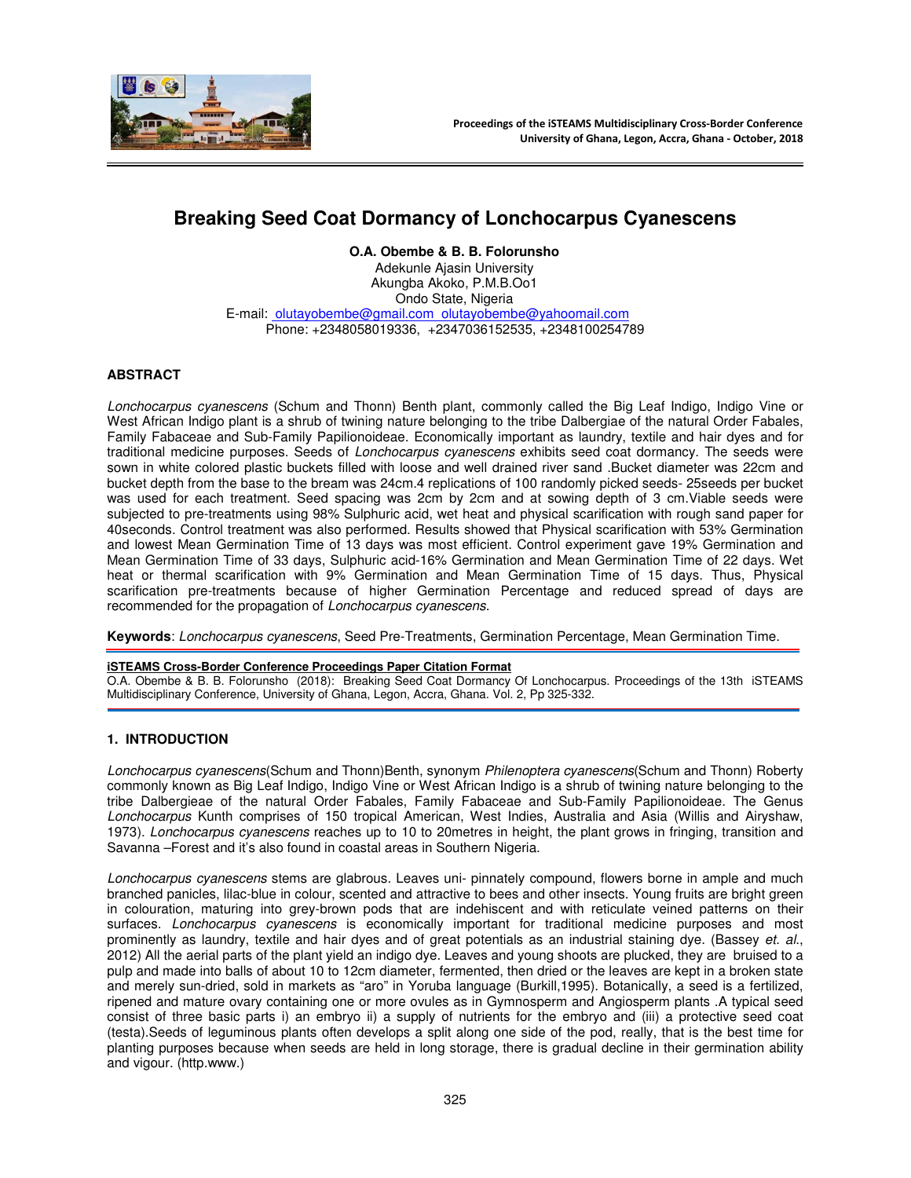

# **Breaking Seed Coat Dormancy of Lonchocarpus Cyanescens**

**O.A. Obembe & B. B. Folorunsho** 

Adekunle Ajasin University Akungba Akoko, P.M.B.Oo1 Ondo State, Nigeria E-mail: olutayobembe@gmail.com olutayobembe@yahoomail.com Phone: +2348058019336, +2347036152535, +2348100254789

# **ABSTRACT**

Lonchocarpus cyanescens (Schum and Thonn) Benth plant, commonly called the Big Leaf Indigo, Indigo Vine or West African Indigo plant is a shrub of twining nature belonging to the tribe Dalbergiae of the natural Order Fabales, Family Fabaceae and Sub-Family Papilionoideae. Economically important as laundry, textile and hair dyes and for traditional medicine purposes. Seeds of Lonchocarpus cyanescens exhibits seed coat dormancy. The seeds were sown in white colored plastic buckets filled with loose and well drained river sand .Bucket diameter was 22cm and bucket depth from the base to the bream was 24cm.4 replications of 100 randomly picked seeds- 25seeds per bucket was used for each treatment. Seed spacing was 2cm by 2cm and at sowing depth of 3 cm.Viable seeds were subjected to pre-treatments using 98% Sulphuric acid, wet heat and physical scarification with rough sand paper for 40seconds. Control treatment was also performed. Results showed that Physical scarification with 53% Germination and lowest Mean Germination Time of 13 days was most efficient. Control experiment gave 19% Germination and Mean Germination Time of 33 days, Sulphuric acid-16% Germination and Mean Germination Time of 22 days. Wet heat or thermal scarification with 9% Germination and Mean Germination Time of 15 days. Thus, Physical scarification pre-treatments because of higher Germination Percentage and reduced spread of days are recommended for the propagation of Lonchocarpus cyanescens.

**Keywords**: Lonchocarpus cyanescens, Seed Pre-Treatments, Germination Percentage, Mean Germination Time.

#### **iSTEAMS Cross-Border Conference Proceedings Paper Citation Format**

O.A. Obembe & B. B. Folorunsho (2018): Breaking Seed Coat Dormancy Of Lonchocarpus. Proceedings of the 13th iSTEAMS Multidisciplinary Conference, University of Ghana, Legon, Accra, Ghana. Vol. 2, Pp 325-332.

## **1. INTRODUCTION**

Lonchocarpus cyanescens(Schum and Thonn)Benth, synonym Philenoptera cyanescens(Schum and Thonn) Roberty commonly known as Big Leaf Indigo, Indigo Vine or West African Indigo is a shrub of twining nature belonging to the tribe Dalbergieae of the natural Order Fabales, Family Fabaceae and Sub-Family Papilionoideae. The Genus Lonchocarpus Kunth comprises of 150 tropical American, West Indies, Australia and Asia (Willis and Airyshaw, 1973). Lonchocarpus cyanescens reaches up to 10 to 20 metres in height, the plant grows in fringing, transition and Savanna –Forest and it's also found in coastal areas in Southern Nigeria.

Lonchocarpus cyanescens stems are glabrous. Leaves uni- pinnately compound, flowers borne in ample and much branched panicles, lilac-blue in colour, scented and attractive to bees and other insects. Young fruits are bright green in colouration, maturing into grey-brown pods that are indehiscent and with reticulate veined patterns on their surfaces. Lonchocarpus cyanescens is economically important for traditional medicine purposes and most prominently as laundry, textile and hair dyes and of great potentials as an industrial staining dye. (Bassey et. al., 2012) All the aerial parts of the plant yield an indigo dye. Leaves and young shoots are plucked, they are bruised to a pulp and made into balls of about 10 to 12cm diameter, fermented, then dried or the leaves are kept in a broken state and merely sun-dried, sold in markets as "aro" in Yoruba language (Burkill,1995). Botanically, a seed is a fertilized, ripened and mature ovary containing one or more ovules as in Gymnosperm and Angiosperm plants .A typical seed consist of three basic parts i) an embryo ii) a supply of nutrients for the embryo and (iii) a protective seed coat (testa).Seeds of leguminous plants often develops a split along one side of the pod, really, that is the best time for planting purposes because when seeds are held in long storage, there is gradual decline in their germination ability and vigour. (http.www.)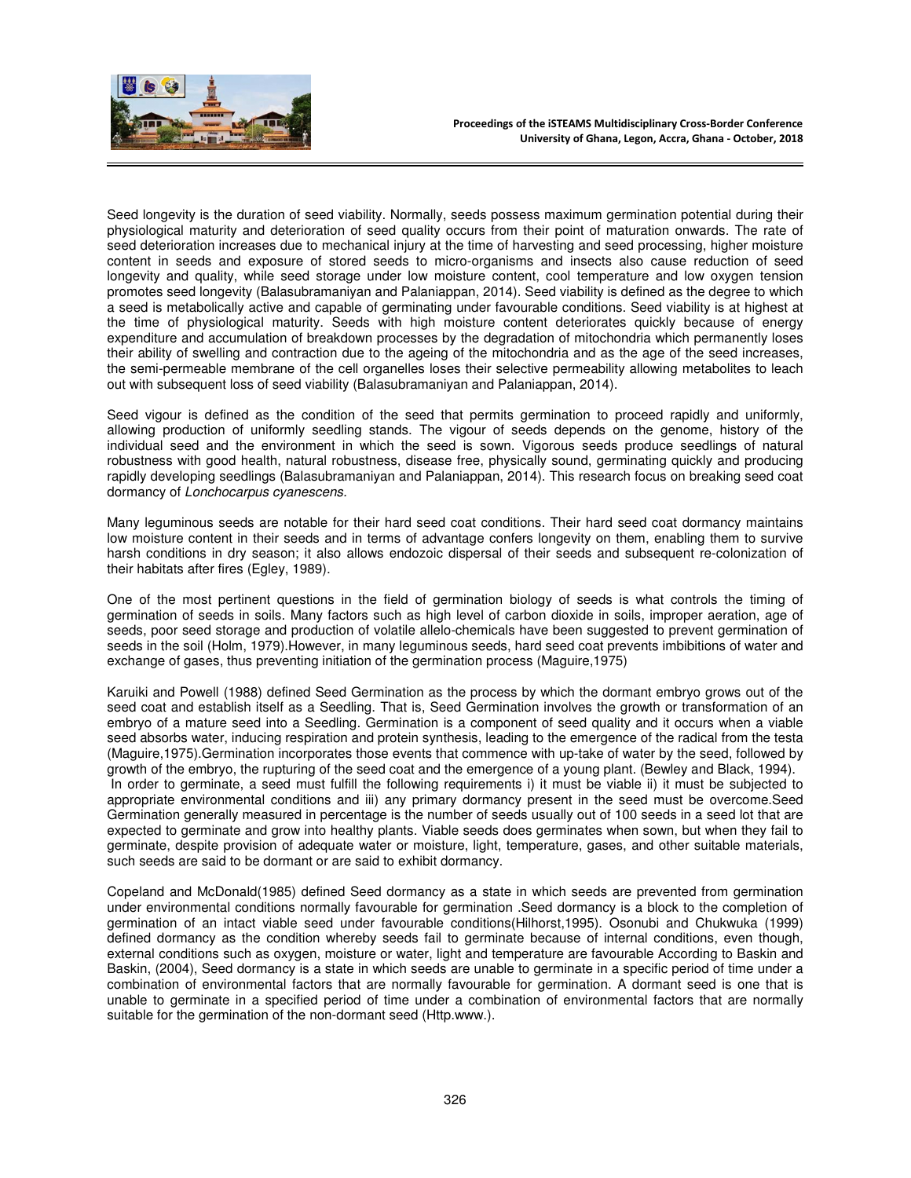

Seed longevity is the duration of seed viability. Normally, seeds possess maximum germination potential during their physiological maturity and deterioration of seed quality occurs from their point of maturation onwards. The rate of seed deterioration increases due to mechanical injury at the time of harvesting and seed processing, higher moisture content in seeds and exposure of stored seeds to micro-organisms and insects also cause reduction of seed longevity and quality, while seed storage under low moisture content, cool temperature and low oxygen tension promotes seed longevity (Balasubramaniyan and Palaniappan, 2014). Seed viability is defined as the degree to which a seed is metabolically active and capable of germinating under favourable conditions. Seed viability is at highest at the time of physiological maturity. Seeds with high moisture content deteriorates quickly because of energy expenditure and accumulation of breakdown processes by the degradation of mitochondria which permanently loses their ability of swelling and contraction due to the ageing of the mitochondria and as the age of the seed increases, the semi-permeable membrane of the cell organelles loses their selective permeability allowing metabolites to leach out with subsequent loss of seed viability (Balasubramaniyan and Palaniappan, 2014).

Seed vigour is defined as the condition of the seed that permits germination to proceed rapidly and uniformly, allowing production of uniformly seedling stands. The vigour of seeds depends on the genome, history of the individual seed and the environment in which the seed is sown. Vigorous seeds produce seedlings of natural robustness with good health, natural robustness, disease free, physically sound, germinating quickly and producing rapidly developing seedlings (Balasubramaniyan and Palaniappan, 2014). This research focus on breaking seed coat dormancy of Lonchocarpus cyanescens.

Many leguminous seeds are notable for their hard seed coat conditions. Their hard seed coat dormancy maintains low moisture content in their seeds and in terms of advantage confers longevity on them, enabling them to survive harsh conditions in dry season; it also allows endozoic dispersal of their seeds and subsequent re-colonization of their habitats after fires (Egley, 1989).

One of the most pertinent questions in the field of germination biology of seeds is what controls the timing of germination of seeds in soils. Many factors such as high level of carbon dioxide in soils, improper aeration, age of seeds, poor seed storage and production of volatile allelo-chemicals have been suggested to prevent germination of seeds in the soil (Holm, 1979).However, in many leguminous seeds, hard seed coat prevents imbibitions of water and exchange of gases, thus preventing initiation of the germination process (Maguire,1975)

Karuiki and Powell (1988) defined Seed Germination as the process by which the dormant embryo grows out of the seed coat and establish itself as a Seedling. That is, Seed Germination involves the growth or transformation of an embryo of a mature seed into a Seedling. Germination is a component of seed quality and it occurs when a viable seed absorbs water, inducing respiration and protein synthesis, leading to the emergence of the radical from the testa (Maguire,1975).Germination incorporates those events that commence with up-take of water by the seed, followed by growth of the embryo, the rupturing of the seed coat and the emergence of a young plant. (Bewley and Black, 1994). In order to germinate, a seed must fulfill the following requirements i) it must be viable ii) it must be subjected to appropriate environmental conditions and iii) any primary dormancy present in the seed must be overcome.Seed Germination generally measured in percentage is the number of seeds usually out of 100 seeds in a seed lot that are expected to germinate and grow into healthy plants. Viable seeds does germinates when sown, but when they fail to germinate, despite provision of adequate water or moisture, light, temperature, gases, and other suitable materials, such seeds are said to be dormant or are said to exhibit dormancy.

Copeland and McDonald(1985) defined Seed dormancy as a state in which seeds are prevented from germination under environmental conditions normally favourable for germination .Seed dormancy is a block to the completion of germination of an intact viable seed under favourable conditions(Hilhorst,1995). Osonubi and Chukwuka (1999) defined dormancy as the condition whereby seeds fail to germinate because of internal conditions, even though, external conditions such as oxygen, moisture or water, light and temperature are favourable According to Baskin and Baskin, (2004), Seed dormancy is a state in which seeds are unable to germinate in a specific period of time under a combination of environmental factors that are normally favourable for germination. A dormant seed is one that is unable to germinate in a specified period of time under a combination of environmental factors that are normally suitable for the germination of the non-dormant seed (Http.www.).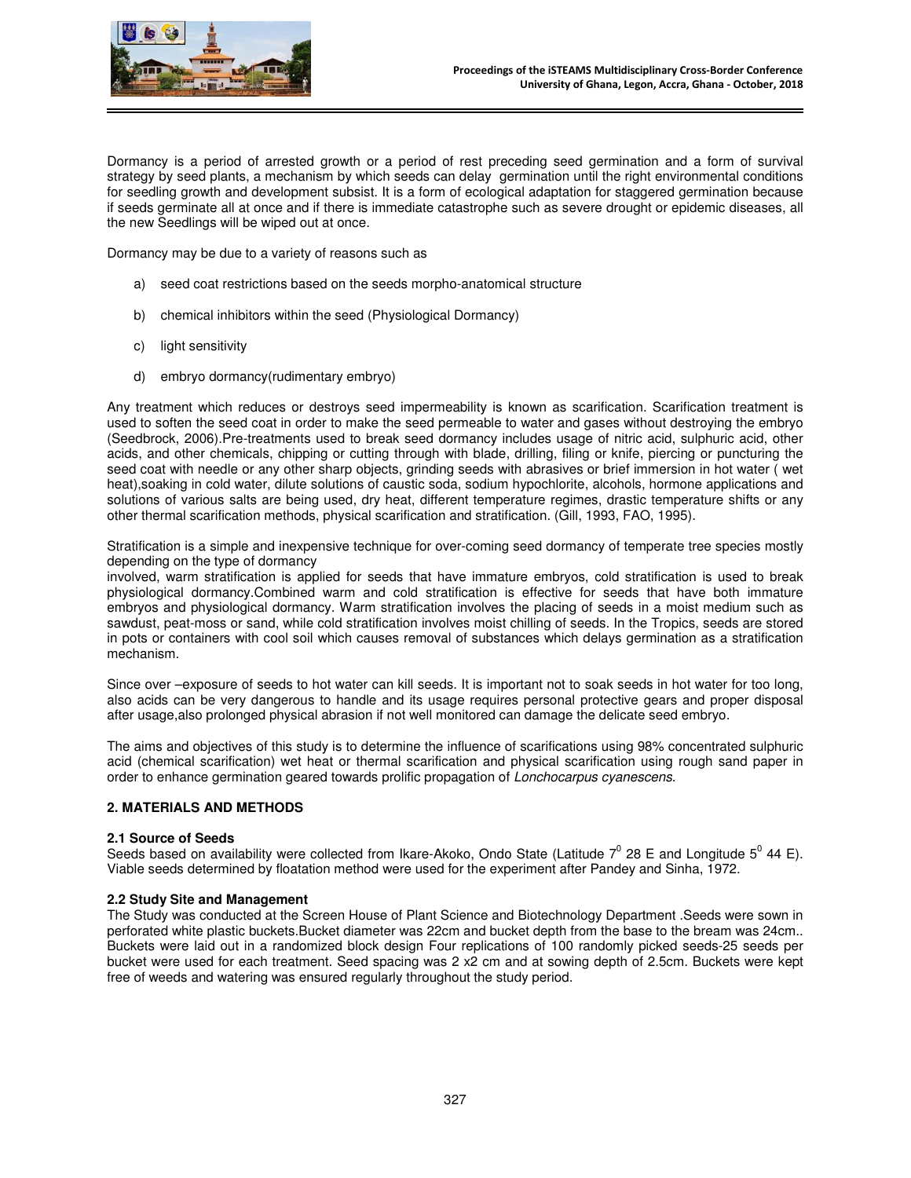

Dormancy is a period of arrested growth or a period of rest preceding seed germination and a form of survival strategy by seed plants, a mechanism by which seeds can delay germination until the right environmental conditions for seedling growth and development subsist. It is a form of ecological adaptation for staggered germination because if seeds germinate all at once and if there is immediate catastrophe such as severe drought or epidemic diseases, all the new Seedlings will be wiped out at once.

Dormancy may be due to a variety of reasons such as

- a) seed coat restrictions based on the seeds morpho-anatomical structure
- b) chemical inhibitors within the seed (Physiological Dormancy)
- c) light sensitivity
- d) embryo dormancy(rudimentary embryo)

Any treatment which reduces or destroys seed impermeability is known as scarification. Scarification treatment is used to soften the seed coat in order to make the seed permeable to water and gases without destroying the embryo (Seedbrock, 2006).Pre-treatments used to break seed dormancy includes usage of nitric acid, sulphuric acid, other acids, and other chemicals, chipping or cutting through with blade, drilling, filing or knife, piercing or puncturing the seed coat with needle or any other sharp objects, grinding seeds with abrasives or brief immersion in hot water ( wet heat),soaking in cold water, dilute solutions of caustic soda, sodium hypochlorite, alcohols, hormone applications and solutions of various salts are being used, dry heat, different temperature regimes, drastic temperature shifts or any other thermal scarification methods, physical scarification and stratification. (Gill, 1993, FAO, 1995).

Stratification is a simple and inexpensive technique for over-coming seed dormancy of temperate tree species mostly depending on the type of dormancy

involved, warm stratification is applied for seeds that have immature embryos, cold stratification is used to break physiological dormancy.Combined warm and cold stratification is effective for seeds that have both immature embryos and physiological dormancy. Warm stratification involves the placing of seeds in a moist medium such as sawdust, peat-moss or sand, while cold stratification involves moist chilling of seeds. In the Tropics, seeds are stored in pots or containers with cool soil which causes removal of substances which delays germination as a stratification mechanism.

Since over –exposure of seeds to hot water can kill seeds. It is important not to soak seeds in hot water for too long, also acids can be very dangerous to handle and its usage requires personal protective gears and proper disposal after usage,also prolonged physical abrasion if not well monitored can damage the delicate seed embryo.

The aims and objectives of this study is to determine the influence of scarifications using 98% concentrated sulphuric acid (chemical scarification) wet heat or thermal scarification and physical scarification using rough sand paper in order to enhance germination geared towards prolific propagation of Lonchocarpus cyanescens.

## **2. MATERIALS AND METHODS**

#### **2.1 Source of Seeds**

Seeds based on availability were collected from Ikare-Akoko, Ondo State (Latitude 7<sup>0</sup> 28 E and Longitude 5<sup>0</sup> 44 E). Viable seeds determined by floatation method were used for the experiment after Pandey and Sinha, 1972.

#### **2.2 Study Site and Management**

The Study was conducted at the Screen House of Plant Science and Biotechnology Department .Seeds were sown in perforated white plastic buckets.Bucket diameter was 22cm and bucket depth from the base to the bream was 24cm.. Buckets were laid out in a randomized block design Four replications of 100 randomly picked seeds-25 seeds per bucket were used for each treatment. Seed spacing was 2 x2 cm and at sowing depth of 2.5cm. Buckets were kept free of weeds and watering was ensured regularly throughout the study period.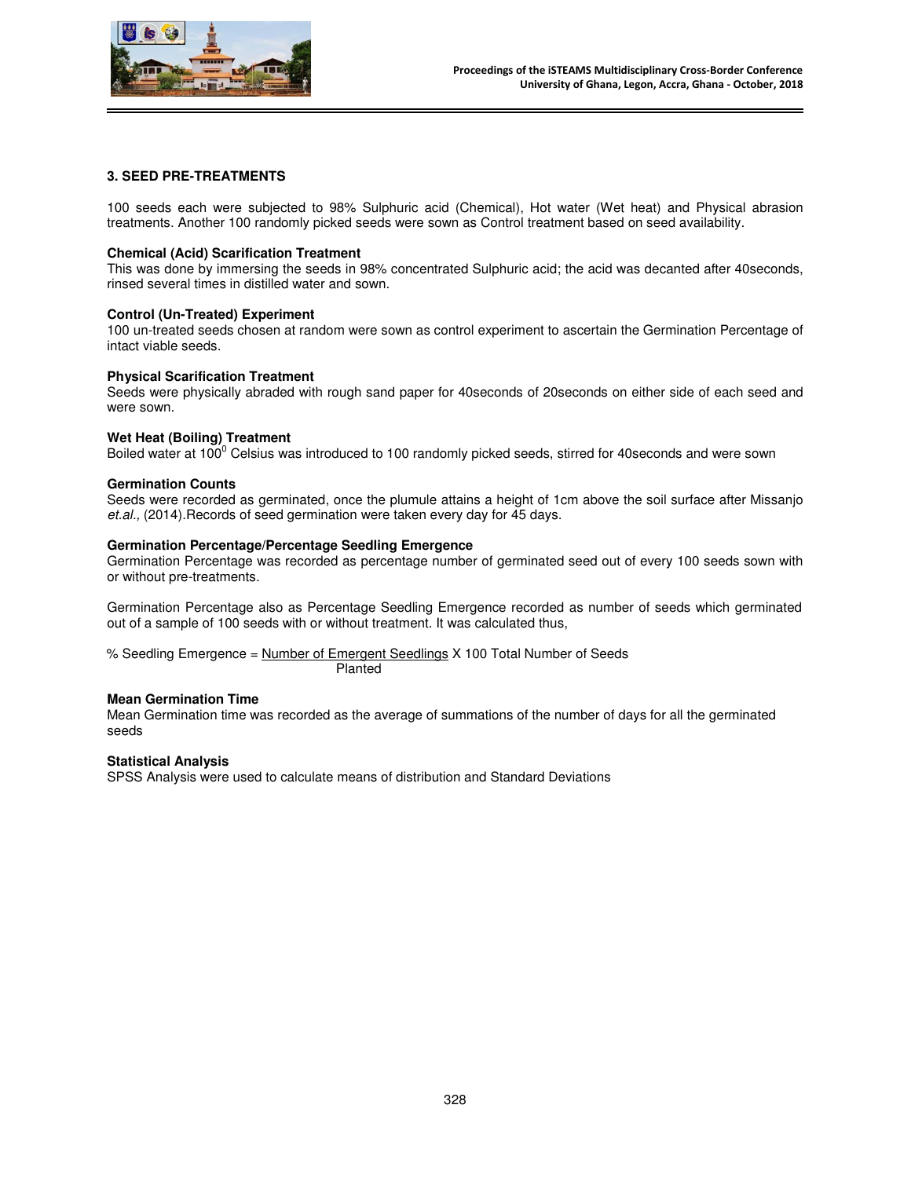

# **3. SEED PRE-TREATMENTS**

100 seeds each were subjected to 98% Sulphuric acid (Chemical), Hot water (Wet heat) and Physical abrasion treatments. Another 100 randomly picked seeds were sown as Control treatment based on seed availability.

## **Chemical (Acid) Scarification Treatment**

This was done by immersing the seeds in 98% concentrated Sulphuric acid; the acid was decanted after 40seconds, rinsed several times in distilled water and sown.

## **Control (Un-Treated) Experiment**

100 un-treated seeds chosen at random were sown as control experiment to ascertain the Germination Percentage of intact viable seeds.

## **Physical Scarification Treatment**

Seeds were physically abraded with rough sand paper for 40seconds of 20seconds on either side of each seed and were sown.

## **Wet Heat (Boiling) Treatment**

Boiled water at 100<sup>0</sup> Celsius was introduced to 100 randomly picked seeds, stirred for 40seconds and were sown

#### **Germination Counts**

Seeds were recorded as germinated, once the plumule attains a height of 1cm above the soil surface after Missanjo et.al., (2014).Records of seed germination were taken every day for 45 days.

## **Germination Percentage/Percentage Seedling Emergence**

Germination Percentage was recorded as percentage number of germinated seed out of every 100 seeds sown with or without pre-treatments.

Germination Percentage also as Percentage Seedling Emergence recorded as number of seeds which germinated out of a sample of 100 seeds with or without treatment. It was calculated thus,

% Seedling Emergence = Number of Emergent Seedlings X 100 Total Number of Seeds Planted

# **Mean Germination Time**

Mean Germination time was recorded as the average of summations of the number of days for all the germinated seeds

## **Statistical Analysis**

SPSS Analysis were used to calculate means of distribution and Standard Deviations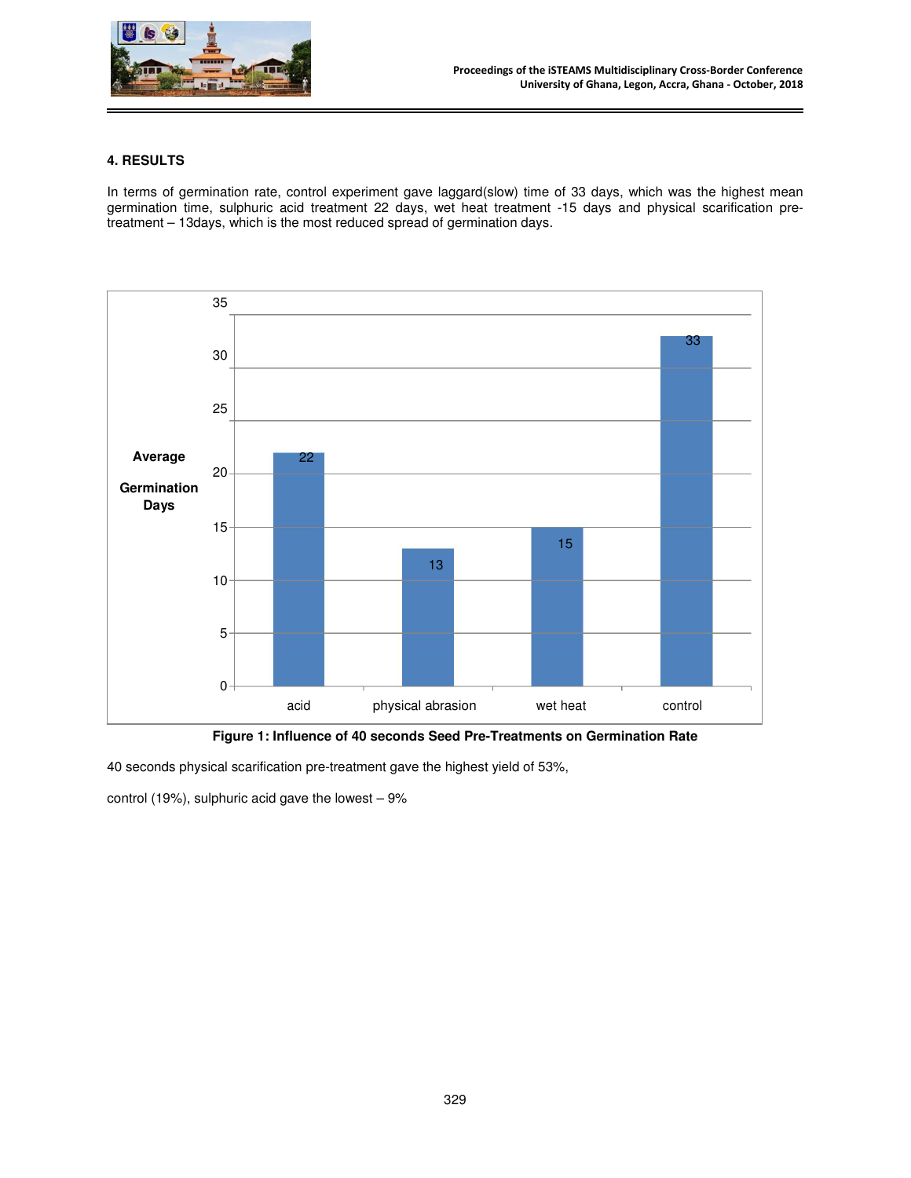

# **4. RESULTS**

In terms of germination rate, control experiment gave laggard(slow) time of 33 days, which was the highest mean germination time, sulphuric acid treatment 22 days, wet heat treatment -15 days and physical scarification pretreatment – 13days, which is the most reduced spread of germination days.



**Figure 1: Influence of 40 seconds Seed Pre-Treatments on Germination Rate**

40 seconds physical scarification pre-treatment gave the highest yield of 53%,

control (19%), sulphuric acid gave the lowest  $-9\%$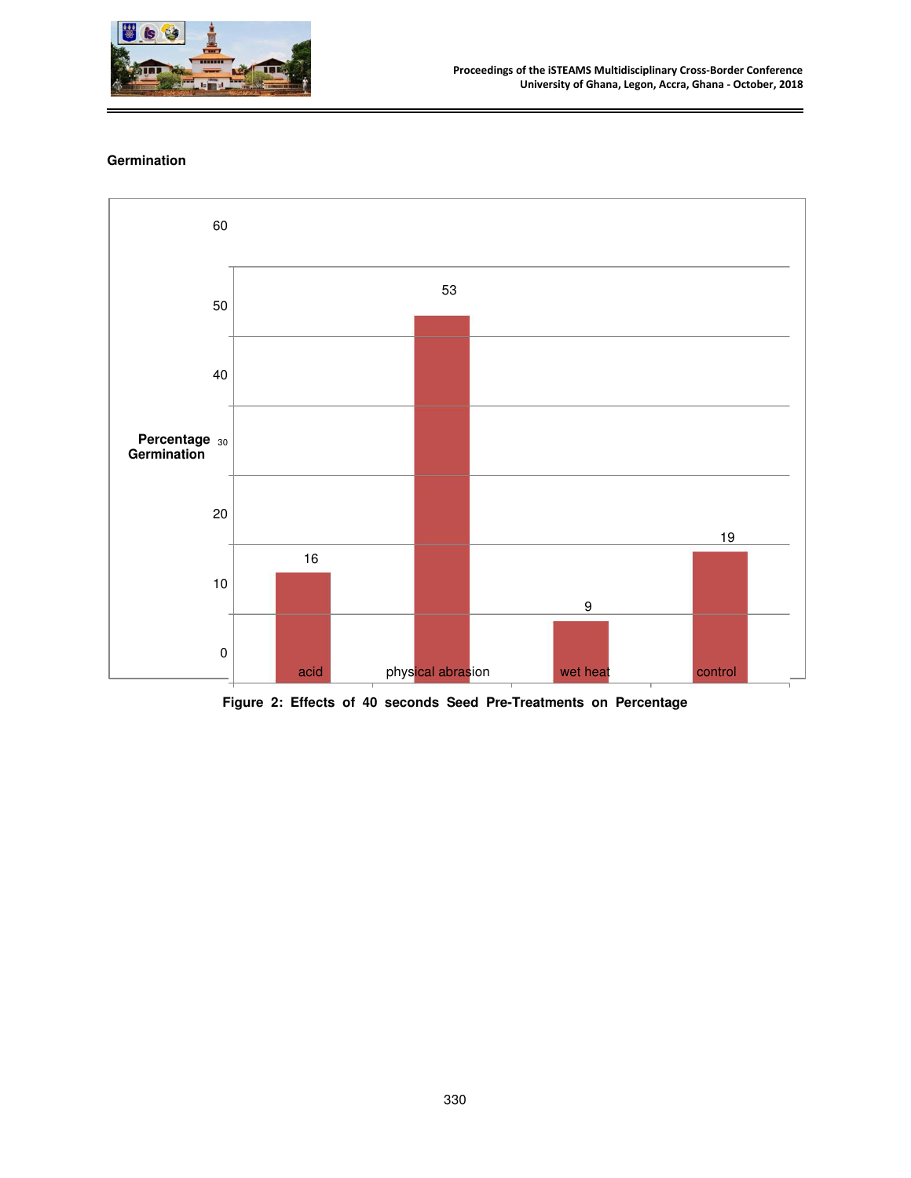

# **Germination**



**Figure 2: Effects of 40 seconds Seed Pre-Treatments on Percentage**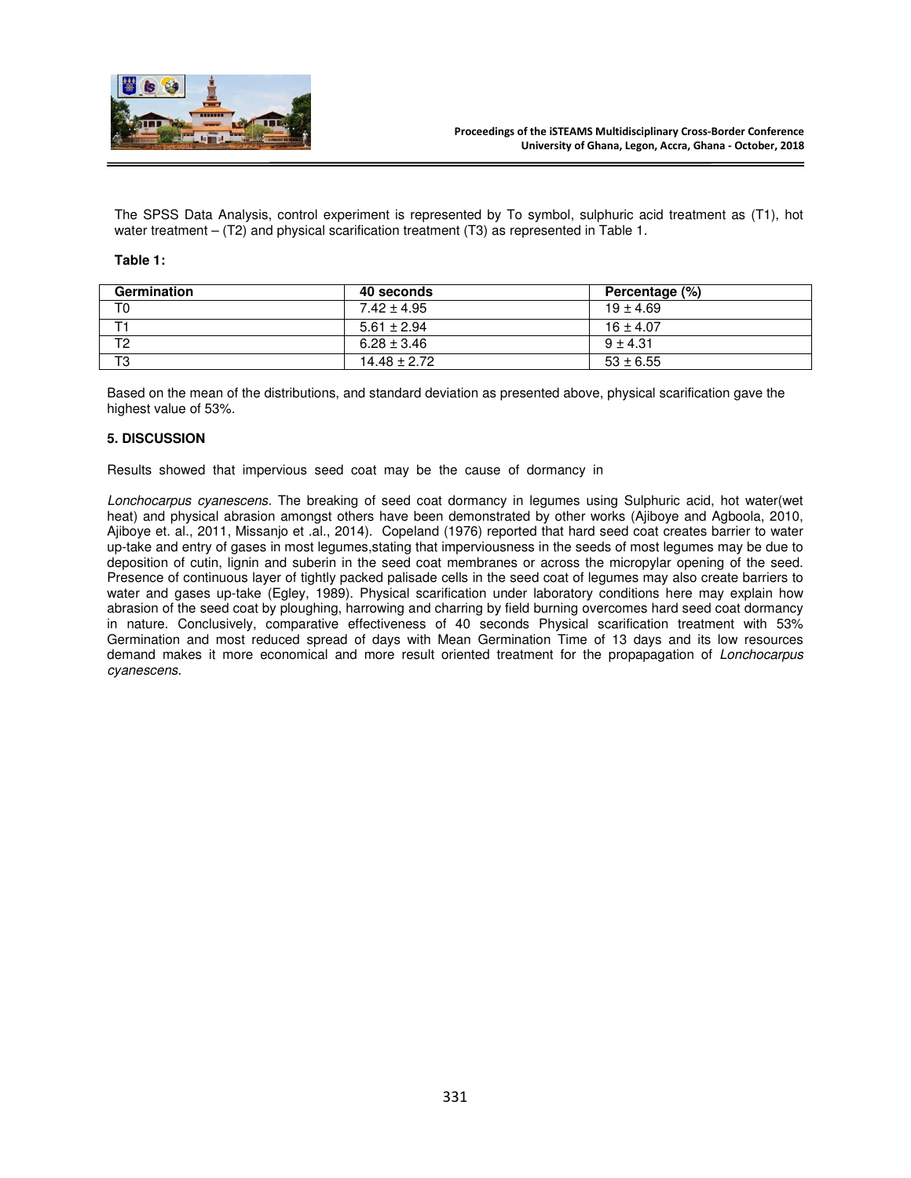

The SPSS Data Analysis, control experiment is represented by To symbol, sulphuric acid treatment as (T1), hot water treatment – (T2) and physical scarification treatment (T3) as represented in Table 1.

#### **Table 1:**

| Germination    | 40 seconds       | Percentage (%) |
|----------------|------------------|----------------|
| T0             | $7.42 + 4.95$    | $19 \pm 4.69$  |
|                | $5.61 \pm 2.94$  | $16 \pm 4.07$  |
| T <sub>2</sub> | $6.28 \pm 3.46$  | $9 + 4.31$     |
| T <sub>3</sub> | $14.48 \pm 2.72$ | $53 \pm 6.55$  |

Based on the mean of the distributions, and standard deviation as presented above, physical scarification gave the highest value of 53%.

## **5. DISCUSSION**

Results showed that impervious seed coat may be the cause of dormancy in

Lonchocarpus cyanescens. The breaking of seed coat dormancy in legumes using Sulphuric acid, hot water(wet heat) and physical abrasion amongst others have been demonstrated by other works (Ajiboye and Agboola, 2010, Ajiboye et. al., 2011, Missanjo et .al., 2014). Copeland (1976) reported that hard seed coat creates barrier to water up-take and entry of gases in most legumes,stating that imperviousness in the seeds of most legumes may be due to deposition of cutin, lignin and suberin in the seed coat membranes or across the micropylar opening of the seed. Presence of continuous layer of tightly packed palisade cells in the seed coat of legumes may also create barriers to water and gases up-take (Egley, 1989). Physical scarification under laboratory conditions here may explain how abrasion of the seed coat by ploughing, harrowing and charring by field burning overcomes hard seed coat dormancy in nature. Conclusively, comparative effectiveness of 40 seconds Physical scarification treatment with 53% Germination and most reduced spread of days with Mean Germination Time of 13 days and its low resources demand makes it more economical and more result oriented treatment for the propapagation of Lonchocarpus cyanescens.